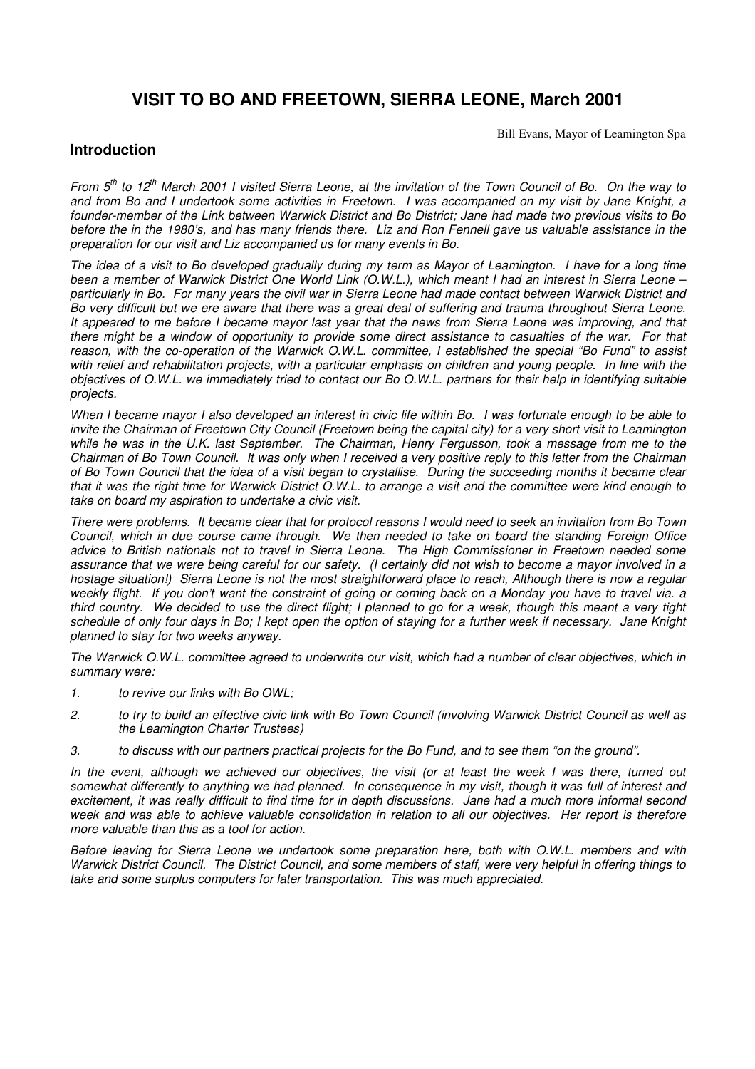## **VISIT TO BO AND FREETOWN, SIERRA LEONE, March 2001**

Bill Evans, Mayor of Leamington Spa

## **Introduction**

From 5<sup>th</sup> to 12<sup>th</sup> March 2001 I visited Sierra Leone, at the invitation of the Town Council of Bo. On the way to and from Bo and I undertook some activities in Freetown. I was accompanied on my visit by Jane Knight, a founder-member of the Link between Warwick District and Bo District; Jane had made two previous visits to Bo before the in the 1980's, and has many friends there. Liz and Ron Fennell gave us valuable assistance in the *preparation for our visit and Liz accompanied us for many events in Bo.*

The idea of a visit to Bo developed gradually during my term as Mayor of Leamington. I have for a long time been a member of Warwick District One World Link (O.W.L.), which meant I had an interest in Sierra Leone particularly in Bo. For many years the civil war in Sierra Leone had made contact between Warwick District and Bo very difficult but we ere aware that there was a great deal of suffering and trauma throughout Sierra Leone. It appeared to me before I became mayor last year that the news from Sierra Leone was improving, and that there might be a window of opportunity to provide some direct assistance to casualties of the war. For that reason, with the co-operation of the Warwick O.W.L. committee, I established the special "Bo Fund" to assist with relief and rehabilitation projects, with a particular emphasis on children and young people. In line with the objectives of O.W.L. we immediately tried to contact our Bo O.W.L. partners for their help in identifying suitable *projects.*

When I became mayor I also developed an interest in civic life within Bo. I was fortunate enough to be able to invite the Chairman of Freetown City Council (Freetown being the capital city) for a very short visit to Leamington while he was in the U.K. last September. The Chairman, Henry Fergusson, took a message from me to the Chairman of Bo Town Council. It was only when I received a very positive reply to this letter from the Chairman of Bo Town Council that the idea of a visit began to crystallise. During the succeeding months it became clear that it was the right time for Warwick District O.W.L. to arrange a visit and the committee were kind enough to *take on board my aspiration to undertake a civic visit.*

There were problems. It became clear that for protocol reasons I would need to seek an invitation from Bo Town Council, which in due course came through. We then needed to take on board the standing Foreign Office *advice to British nationals not to travel in Sierra Leone. The High Commissioner in Freetown needed some* assurance that we were being careful for our safety. (I certainly did not wish to become a mayor involved in a hostage situation!) Sierra Leone is not the most straightforward place to reach, Although there is now a regular weekly flight. If you don't want the constraint of going or coming back on a Monday you have to travel via. a third country. We decided to use the direct flight; I planned to go for a week, though this meant a very tight schedule of only four days in Bo; I kept open the option of staying for a further week if necessary. Jane Knight *planned to stay for two weeks anyway.*

The Warwick O.W.L. committee agreed to underwrite our visit, which had a number of clear objectives, which in *summary were:*

- *1. to revive our links with Bo OWL;*
- 2. to try to build an effective civic link with Bo Town Council (involving Warwick District Council as well as *the Leamington Charter Trustees)*
- 3. to discuss with our partners practical projects for the Bo Fund, and to see them "on the ground".

In the event, although we achieved our objectives, the visit (or at least the week I was there, turned out somewhat differently to anything we had planned. In consequence in my visit, though it was full of interest and excitement, it was really difficult to find time for in depth discussions. Jane had a much more informal second week and was able to achieve valuable consolidation in relation to all our objectives. Her report is therefore *more valuable than this as a tool for action.*

*Before leaving for Sierra Leone we undertook some preparation here, both with O.W.L. members and with* Warwick District Council. The District Council, and some members of staff, were very helpful in offering things to *take and some surplus computers for later transportation. This was much appreciated.*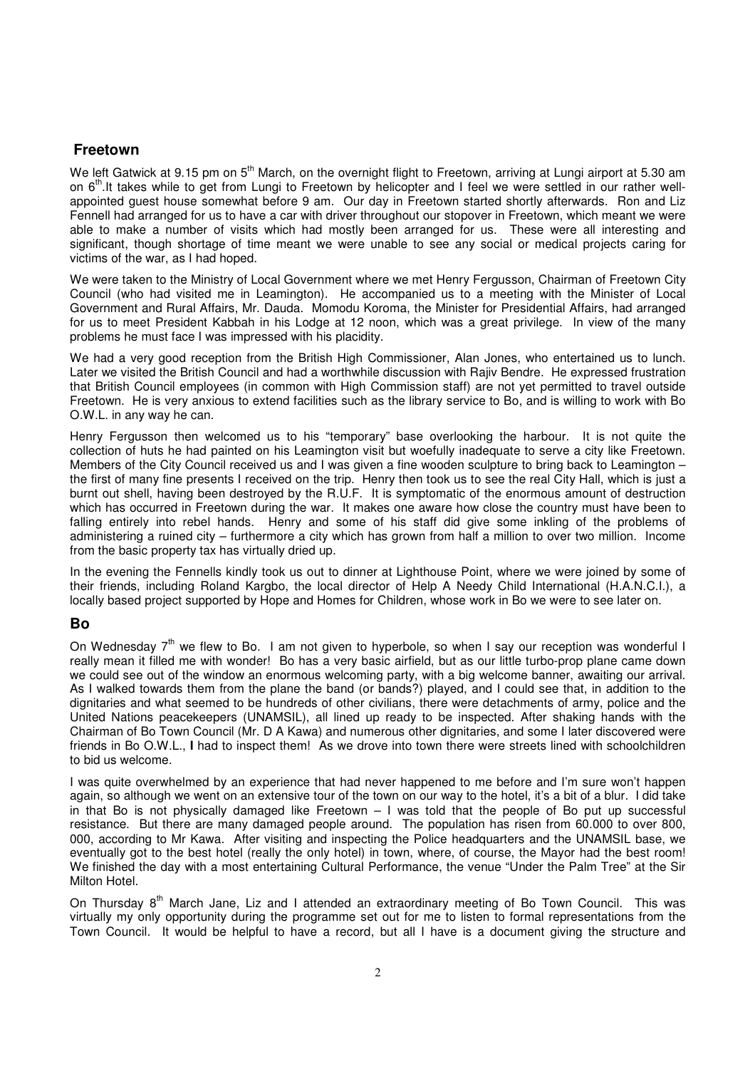## **Freetown**

We left Gatwick at 9.15 pm on 5<sup>th</sup> March, on the overnight flight to Freetown, arriving at Lungi airport at 5.30 am on 6<sup>th</sup>.It takes while to get from Lungi to Freetown by helicopter and I feel we were settled in our rather wellappointed guest house somewhat before 9 am. Our day in Freetown started shortly afterwards. Ron and Liz Fennell had arranged for us to have a car with driver throughout our stopover in Freetown, which meant we were able to make a number of visits which had mostly been arranged for us. These were all interesting and significant, though shortage of time meant we were unable to see any social or medical projects caring for victims of the war, as I had hoped.

We were taken to the Ministry of Local Government where we met Henry Fergusson, Chairman of Freetown City Council (who had visited me in Leamington). He accompanied us to a meeting with the Minister of Local Government and Rural Affairs, Mr. Dauda. Momodu Koroma, the Minister for Presidential Affairs, had arranged for us to meet President Kabbah in his Lodge at 12 noon, which was a great privilege. In view of the many problems he must face I was impressed with his placidity.

We had a very good reception from the British High Commissioner, Alan Jones, who entertained us to lunch. Later we visited the British Council and had a worthwhile discussion with Rajiv Bendre. He expressed frustration that British Council employees (in common with High Commission staff) are not yet permitted to travel outside Freetown. He is very anxious to extend facilities such as the library service to Bo, and is willing to work with Bo O.W.L. in any way he can.

Henry Fergusson then welcomed us to his "temporary" base overlooking the harbour. It is not quite the collection of huts he had painted on his Leamington visit but woefully inadequate to serve a city like Freetown. Members of the City Council received us and I was given a fine wooden sculpture to bring back to Leamington – the first of many fine presents I received on the trip. Henry then took us to see the real City Hall, which is just a burnt out shell, having been destroyed by the R.U.F. It is symptomatic of the enormous amount of destruction which has occurred in Freetown during the war. It makes one aware how close the country must have been to falling entirely into rebel hands. Henry and some of his staff did give some inkling of the problems of administering a ruined city – furthermore a city which has grown from half a million to over two million. Income from the basic property tax has virtually dried up.

In the evening the Fennells kindly took us out to dinner at Lighthouse Point, where we were joined by some of their friends, including Roland Kargbo, the local director of Help A Needy Child International (H.A.N.C.I.), a locally based project supported by Hope and Homes for Children, whose work in Bo we were to see later on.

## **Bo**

On Wednesday 7<sup>th</sup> we flew to Bo. I am not given to hyperbole, so when I say our reception was wonderful I really mean it filled me with wonder! Bo has a very basic airfield, but as our little turbo-prop plane came down we could see out of the window an enormous welcoming party, with a big welcome banner, awaiting our arrival. As I walked towards them from the plane the band (or bands?) played, and I could see that, in addition to the dignitaries and what seemed to be hundreds of other civilians, there were detachments of army, police and the United Nations peacekeepers (UNAMSIL), all lined up ready to be inspected. After shaking hands with the Chairman of Bo Town Council (Mr. D A Kawa) and numerous other dignitaries, and some I later discovered were friends in Bo O.W.L., I had to inspect them! As we drove into town there were streets lined with schoolchildren to bid us welcome.

I was quite overwhelmed by an experience that had never happened to me before and I'm sure won't happen again, so although we went on an extensive tour of the town on our way to the hotel, it's a bit of a blur. I did take in that Bo is not physically damaged like Freetown  $-1$  was told that the people of Bo put up successful resistance. But there are many damaged people around. The population has risen from 60.000 to over 800, 000, according to Mr Kawa. After visiting and inspecting the Police headquarters and the UNAMSIL base, we eventually got to the best hotel (really the only hotel) in town, where, of course, the Mayor had the best room! We finished the day with a most entertaining Cultural Performance, the venue "Under the Palm Tree" at the Sir Milton Hotel.

On Thursday 8<sup>th</sup> March Jane, Liz and I attended an extraordinary meeting of Bo Town Council. This was virtually my only opportunity during the programme set out for me to listen to formal representations from the Town Council. It would be helpful to have a record, but all I have is a document giving the structure and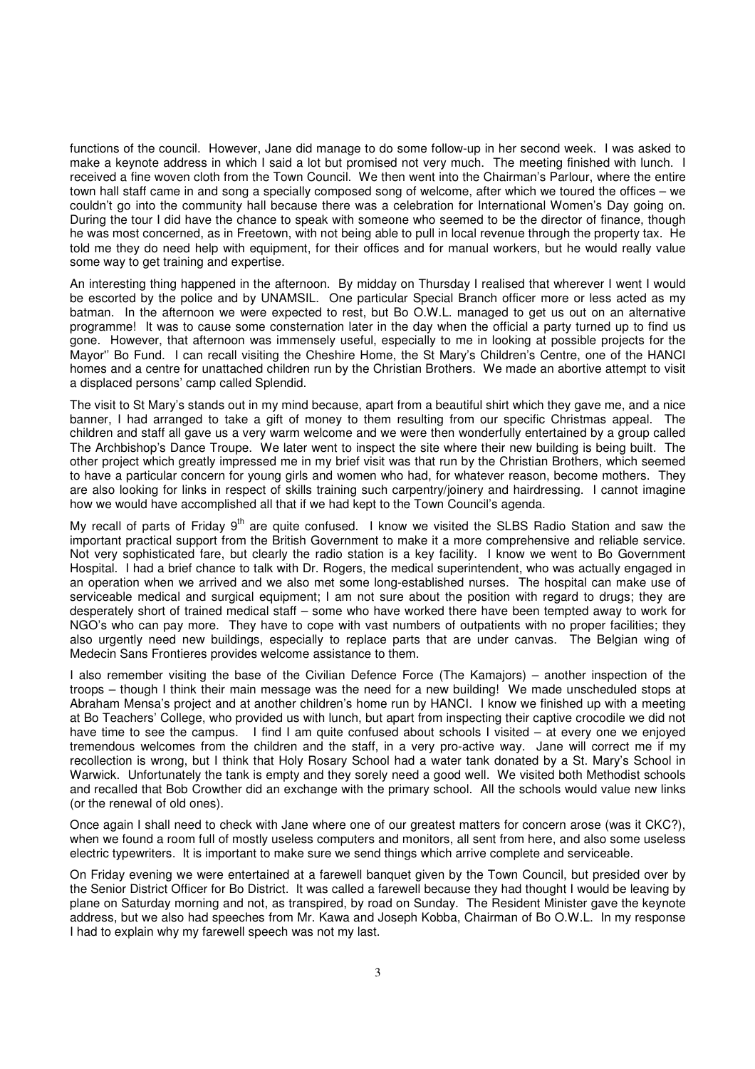functions of the council. However, Jane did manage to do some follow-up in her second week. I was asked to make a keynote address in which I said a lot but promised not very much. The meeting finished with lunch. I received a fine woven cloth from the Town Council. We then went into the Chairman's Parlour, where the entire town hall staff came in and song a specially composed song of welcome, after which we toured the offices – we couldn't go into the community hall because there was a celebration for International Women's Day going on. During the tour I did have the chance to speak with someone who seemed to be the director of finance, though he was most concerned, as in Freetown, with not being able to pull in local revenue through the property tax. He told me they do need help with equipment, for their offices and for manual workers, but he would really value some way to get training and expertise.

An interesting thing happened in the afternoon. By midday on Thursday I realised that wherever I went I would be escorted by the police and by UNAMSIL. One particular Special Branch officer more or less acted as my batman. In the afternoon we were expected to rest, but Bo O.W.L. managed to get us out on an alternative programme! It was to cause some consternation later in the day when the official a party turned up to find us gone. However, that afternoon was immensely useful, especially to me in looking at possible projects for the Mayor" Bo Fund. I can recall visiting the Cheshire Home, the St Mary's Children's Centre, one of the HANCI homes and a centre for unattached children run by the Christian Brothers. We made an abortive attempt to visit a displaced persons' camp called Splendid.

The visit to St Mary's stands out in my mind because, apart from a beautiful shirt which they gave me, and a nice banner, I had arranged to take a gift of money to them resulting from our specific Christmas appeal. The children and staff all gave us a very warm welcome and we were then wonderfully entertained by a group called The Archbishop's Dance Troupe. We later went to inspect the site where their new building is being built. The other project which greatly impressed me in my brief visit was that run by the Christian Brothers, which seemed to have a particular concern for young girls and women who had, for whatever reason, become mothers. They are also looking for links in respect of skills training such carpentry/joinery and hairdressing. I cannot imagine how we would have accomplished all that if we had kept to the Town Council's agenda.

My recall of parts of Friday 9<sup>th</sup> are quite confused. I know we visited the SLBS Radio Station and saw the important practical support from the British Government to make it a more comprehensive and reliable service. Not very sophisticated fare, but clearly the radio station is a key facility. I know we went to Bo Government Hospital. I had a brief chance to talk with Dr. Rogers, the medical superintendent, who was actually engaged in an operation when we arrived and we also met some long-established nurses. The hospital can make use of serviceable medical and surgical equipment; I am not sure about the position with regard to drugs; they are desperately short of trained medical staff – some who have worked there have been tempted away to work for NGO's who can pay more. They have to cope with vast numbers of outpatients with no proper facilities; they also urgently need new buildings, especially to replace parts that are under canvas. The Belgian wing of Medecin Sans Frontieres provides welcome assistance to them.

I also remember visiting the base of the Civilian Defence Force (The Kamajors) – another inspection of the troops – though I think their main message was the need for a new building! We made unscheduled stops at Abraham Mensa's project and at another children's home run by HANCI. I know we finished up with a meeting at Bo Teachers' College, who provided us with lunch, but apart from inspecting their captive crocodile we did not have time to see the campus. I find I am quite confused about schools I visited – at every one we enjoyed tremendous welcomes from the children and the staff, in a very pro-active way. Jane will correct me if my recollection is wrong, but I think that Holy Rosary School had a water tank donated by a St. Mary's School in Warwick. Unfortunately the tank is empty and they sorely need a good well. We visited both Methodist schools and recalled that Bob Crowther did an exchange with the primary school. All the schools would value new links (or the renewal of old ones).

Once again I shall need to check with Jane where one of our greatest matters for concern arose (was it CKC?), when we found a room full of mostly useless computers and monitors, all sent from here, and also some useless electric typewriters. It is important to make sure we send things which arrive complete and serviceable.

On Friday evening we were entertained at a farewell banquet given by the Town Council, but presided over by the Senior District Officer for Bo District. It was called a farewell because they had thought I would be leaving by plane on Saturday morning and not, as transpired, by road on Sunday. The Resident Minister gave the keynote address, but we also had speeches from Mr. Kawa and Joseph Kobba, Chairman of Bo O.W.L. In my response I had to explain why my farewell speech was not my last.